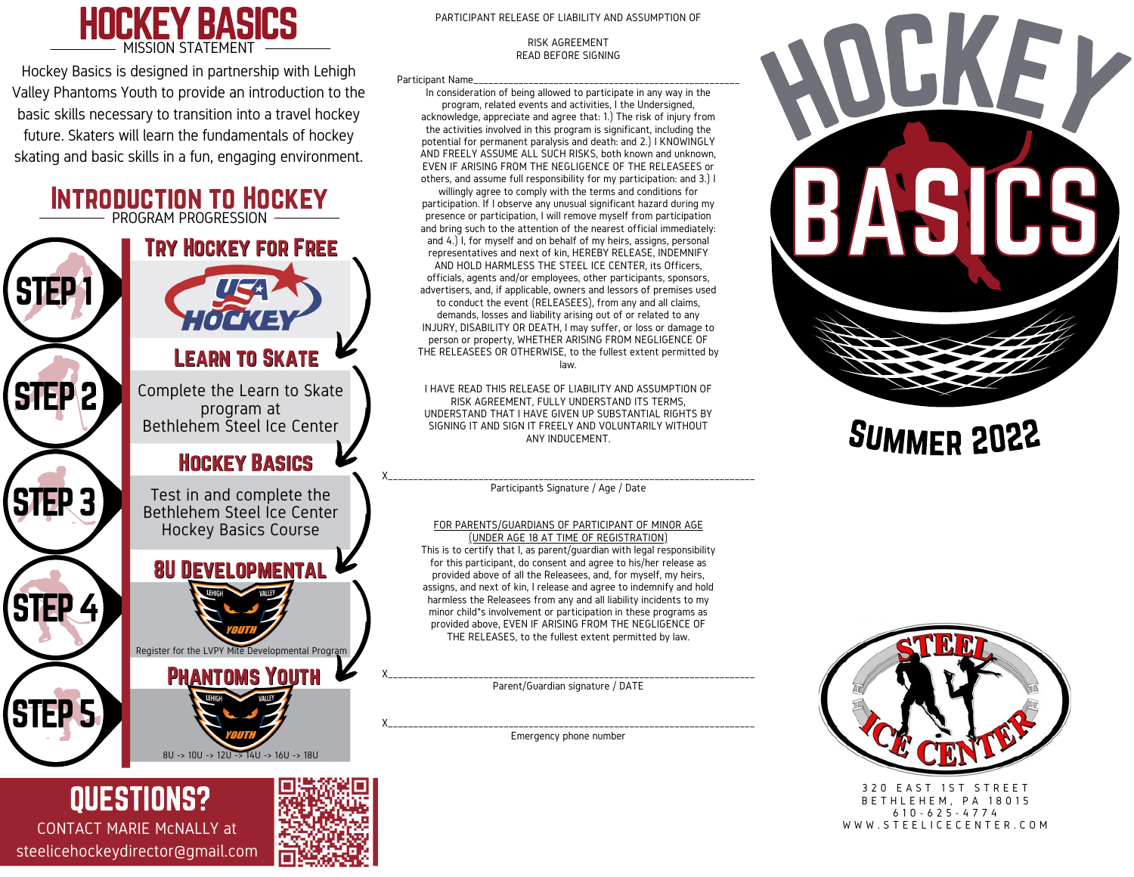

Hockey Basics is designed in partnership with Lehigh Valley Phantoms Youth to provide an introduction to the basic skills necessary to transition into a travel hockey future. Skaters will learn the fundamentals of hockey skating and basic skills in a fun, engaging environment.



CONTACT MARIE McNALLY at steelicehockeydirector@gmail.com



#### RISK AGREEMENT READ BEFORE SIGNING

Participant Name

In consideration of being allowed to participate in any way in the program, related events and activities, I the Undersigned, acknowledge, appreciate and agree that: 1.) The risk of injury from the activities involved in this program is significant, including the potential for permanent paralysis and death: and 2.) I KNOWINGLY AND FREELY ASSUME ALL SUCH RISKS, both known and unknown, EVEN IF ARISING FROM THE NEGLIGENCE OF THE RELEASEES or others, and assume full responsibility for my participation: and 3.) I

willingly agree to comply with the terms and conditions for participation. If I observe any unusual significant hazard during my presence or participation, I will remove myself from participation and bring such to the attention of the nearest official immediately: and 4.) I, for myself and on behalf of my heirs, assigns, personal representatives and next of kin, HEREBY RELEASE, INDEMNIFY AND HOLD HARMLESS THE STEEL ICE CENTER, its Officers, officials, agents and/or employees, other participants, sponsors, advertisers, and, if applicable, owners and lessors of premises used to conduct the event (RELEASEES), from any and all claims, demands, losses and liability arising out of or related to any INJURY, DISABILITY OR DEATH, I may suffer, or loss or damage to person or property, WHETHER ARISING FROM NEGLIGENCE OF THE RELEASEES OR OTHERWISE, to the fullest extent permitted by law.

I HAVE READ THIS RELEASE OF LIABILITY AND ASSUMPTION OF RISK AGREEMENT, FULLY UNDERSTAND ITS TERMS, UNDERSTAND THAT I HAVE GIVEN UP SUBSTANTIAL RIGHTS BY SIGNING IT AND SIGN IT FREELY AND VOLUNTARILY WITHOUT ANY INDUCEMENT.

X\_\_\_\_\_\_\_\_\_\_\_\_\_\_\_\_\_\_\_\_\_\_\_\_\_\_\_\_\_\_\_\_\_\_\_\_\_\_\_\_\_\_\_\_\_\_\_\_\_\_\_\_\_\_\_\_\_\_\_\_\_\_\_\_\_\_\_\_\_\_\_\_\_ Participant's Signature / Age / Date

#### FOR PARENTS/GUARDIANS OF PARTICIPANT OF MINOR AGE

(UNDER AGE 18 AT TIME OF REGISTRATION) This is to certify that I, as parent/guardian with legal responsibility for this participant, do consent and agree to his/her release as provided above of all the Releasees, and, for myself, my heirs, assigns, and next of kin, I release and agree to indemnify and hold harmless the Releasees from any and all liability incidents to my minor child\*s involvement or participation in these programs as provided above, EVEN IF ARISING FROM THE NEGLIGENCE OF THE RELEASES, to the fullest extent permitted by law.

X\_\_\_\_\_\_\_\_\_\_\_\_\_\_\_\_\_\_\_\_\_\_\_\_\_\_\_\_\_\_\_\_\_\_\_\_\_\_\_\_\_\_\_\_\_\_\_\_\_\_\_\_\_\_\_\_\_\_\_\_\_\_\_\_\_\_\_\_\_\_\_\_\_ Parent/Guardian signature / DATE

X\_\_\_\_\_\_\_\_\_\_\_\_\_\_\_\_\_\_\_\_\_\_\_\_\_\_\_\_\_\_\_\_\_\_\_\_\_\_\_\_\_\_\_\_\_\_\_\_\_\_\_\_\_\_\_\_\_\_\_\_\_\_\_\_\_\_\_\_\_\_\_\_\_ Emergency phone number



### Summer 2022



3 2 0 E A S T 1 S T S T R E E T **BETHLEHEM, PA 18015** 6 1 0 - 6 2 5 - 4 7 7 4 W W W . S T E E L I C E C E N T E R . C O M